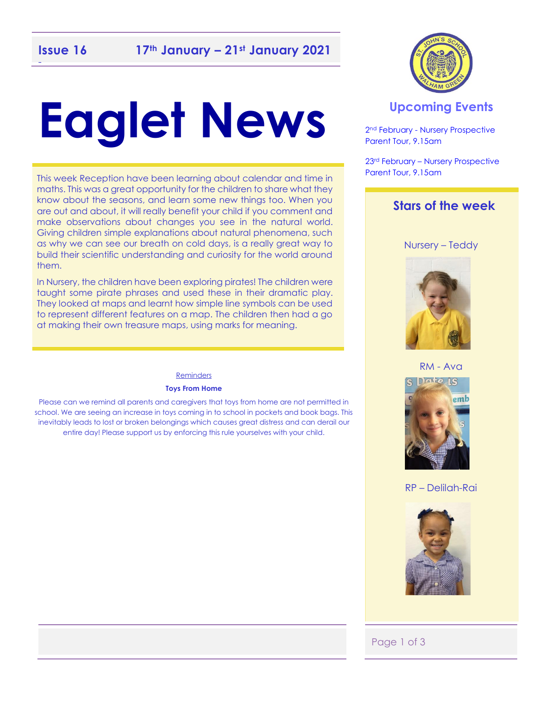## -

# **Eaglet News**

This week Reception have been learning about calendar and time in maths. This was a great opportunity for the children to share what they know about the seasons, and learn some new things too. When you are out and about, it will really benefit your child if you comment and make observations about changes you see in the natural world. Giving children simple explanations about natural phenomena, such as why we can see our breath on cold days, is a really great way to build their scientific understanding and curiosity for the world around them.

In Nursery, the children have been exploring pirates! The children were taught some pirate phrases and used these in their dramatic play. They looked at maps and learnt how simple line symbols can be used to represent different features on a map. The children then had a go at making their own treasure maps, using marks for meaning.

#### Reminders

#### **Toys From Home**

Please can we remind all parents and caregivers that toys from home are not permitted in school. We are seeing an increase in toys coming in to school in pockets and book bags. This inevitably leads to lost or broken belongings which causes great distress and can derail our entire day! Please support us by enforcing this rule yourselves with your child.



#### **Upcoming Events**

2 nd February - Nursery Prospective Parent Tour, 9.15am

23rd February – Nursery Prospective Parent Tour, 9.15am

#### **Stars of the week**

Nursery – Teddy



#### RM - Ava



#### RP – Delilah-Rai



#### Page 1 of 3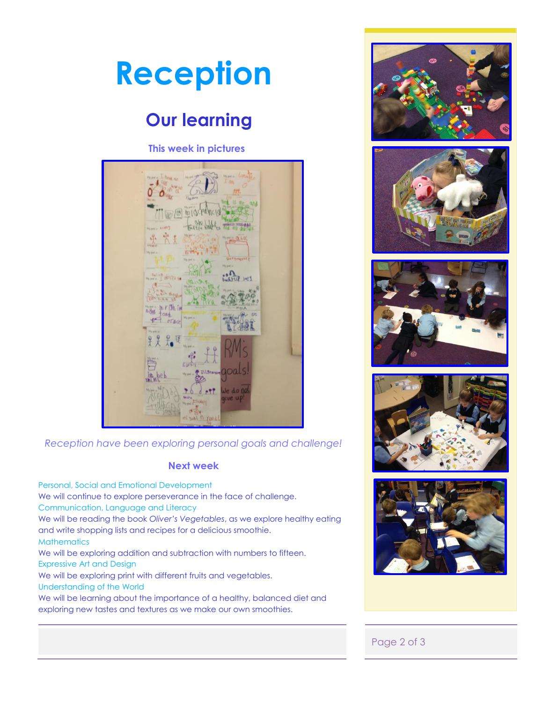

We will continue to explore perseverance in the face of challenge.

We will be exploring addition and subtraction with numbers to fifteen.

We will be learning about the importance of a healthy, balanced diet and

and write shopping lists and recipes for a delicious smoothie.

We will be exploring print with different fruits and vegetables.

exploring new tastes and textures as we make our own smoothies.

We will be reading the book *Oliver's Vegetables*, as we explore healthy eating

Communication, Language and Literacy

**Mathematics** 

Expressive Art and Design

Understanding of the World



#### Page 2 of 3